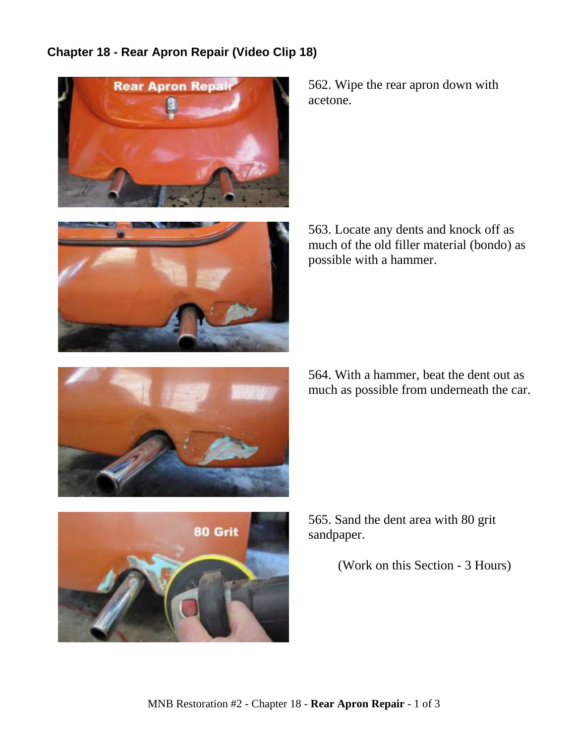## **Chapter 18 - Rear Apron Repair (Video Clip 18)**





562. Wipe the rear apron down with acetone.

563. Locate any dents and knock off as much of the old filler material (bondo) as possible with a hammer.



564. With a hammer, beat the dent out as much as possible from underneath the car.



565. Sand the dent area with 80 grit sandpaper.

(Work on this Section - 3 Hours)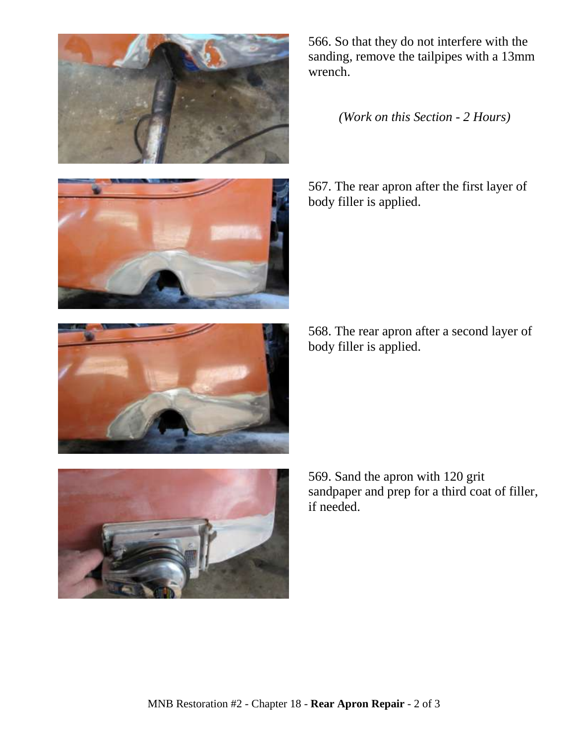





*(Work on this Section - 2 Hours)*

567. The rear apron after the first layer of body filler is applied.

568. The rear apron after a second layer of body filler is applied.



569. Sand the apron with 120 grit sandpaper and prep for a third coat of filler, if needed.